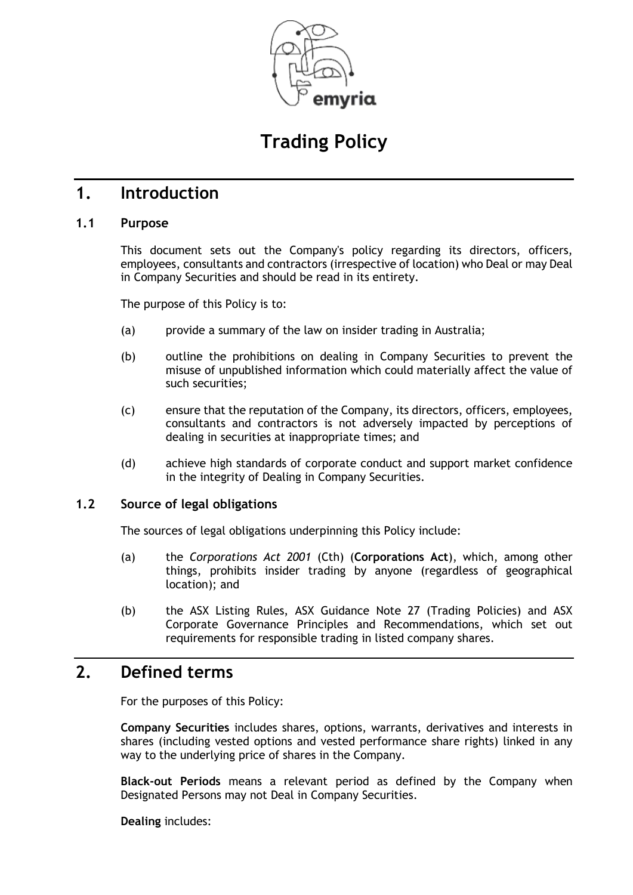

# **Trading Policy**

## **1. Introduction**

### **1.1 Purpose**

This document sets out the Company's policy regarding its directors, officers, employees, consultants and contractors (irrespective of location) who Deal or may Deal in Company Securities and should be read in its entirety.

The purpose of this Policy is to:

- (a) provide a summary of the law on insider trading in Australia;
- (b) outline the prohibitions on dealing in Company Securities to prevent the misuse of unpublished information which could materially affect the value of such securities;
- (c) ensure that the reputation of the Company, its directors, officers, employees, consultants and contractors is not adversely impacted by perceptions of dealing in securities at inappropriate times; and
- (d) achieve high standards of corporate conduct and support market confidence in the integrity of Dealing in Company Securities.

#### **1.2 Source of legal obligations**

The sources of legal obligations underpinning this Policy include:

- (a) the *Corporations Act 2001* (Cth) (**Corporations Act**), which, among other things, prohibits insider trading by anyone (regardless of geographical location); and
- (b) the ASX Listing Rules, ASX Guidance Note 27 (Trading Policies) and ASX Corporate Governance Principles and Recommendations, which set out requirements for responsible trading in listed company shares.

# **2. Defined terms**

For the purposes of this Policy:

**Company Securities** includes shares, options, warrants, derivatives and interests in shares (including vested options and vested performance share rights) linked in any way to the underlying price of shares in the Company.

**Black-out Periods** means a relevant period as defined by the Company when Designated Persons may not Deal in Company Securities.

**Dealing** includes: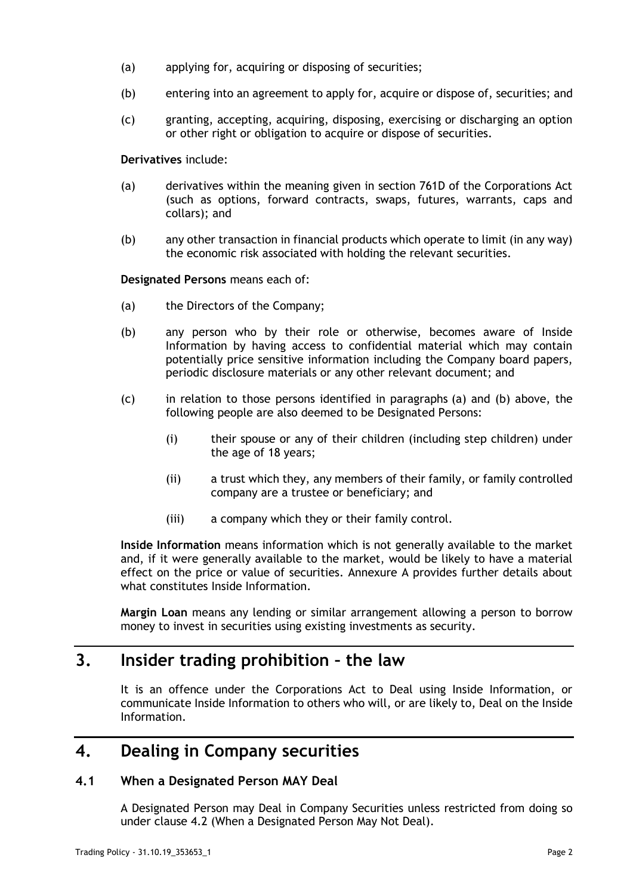- (a) applying for, acquiring or disposing of securities;
- (b) entering into an agreement to apply for, acquire or dispose of, securities; and
- (c) granting, accepting, acquiring, disposing, exercising or discharging an option or other right or obligation to acquire or dispose of securities.

**Derivatives** include:

- (a) derivatives within the meaning given in section 761D of the Corporations Act (such as options, forward contracts, swaps, futures, warrants, caps and collars); and
- (b) any other transaction in financial products which operate to limit (in any way) the economic risk associated with holding the relevant securities.

<span id="page-1-0"></span>**Designated Persons** means each of:

- (a) the Directors of the Company;
- <span id="page-1-1"></span>(b) any person who by their role or otherwise, becomes aware of Inside Information by having access to confidential material which may contain potentially price sensitive information including the Company board papers, periodic disclosure materials or any other relevant document; and
- (c) in relation to those persons identified in paragraphs [\(a\)](#page-1-0) and [\(b\)](#page-1-1) above, the following people are also deemed to be Designated Persons:
	- (i) their spouse or any of their children (including step children) under the age of 18 years;
	- (ii) a trust which they, any members of their family, or family controlled company are a trustee or beneficiary; and
	- (iii) a company which they or their family control.

**Inside Information** means information which is not generally available to the market and, if it were generally available to the market, would be likely to have a material effect on the price or value of securities. Annexure A provides further details about what constitutes Inside Information.

**Margin Loan** means any lending or similar arrangement allowing a person to borrow money to invest in securities using existing investments as security.

## **3. Insider trading prohibition – the law**

It is an offence under the Corporations Act to Deal using Inside Information, or communicate Inside Information to others who will, or are likely to, Deal on the Inside Information.

# **4. Dealing in Company securities**

#### **4.1 When a Designated Person MAY Deal**

A Designated Person may Deal in Company Securities unless restricted from doing so under clause [4.2](#page-2-0) (When a Designated Person May Not Deal).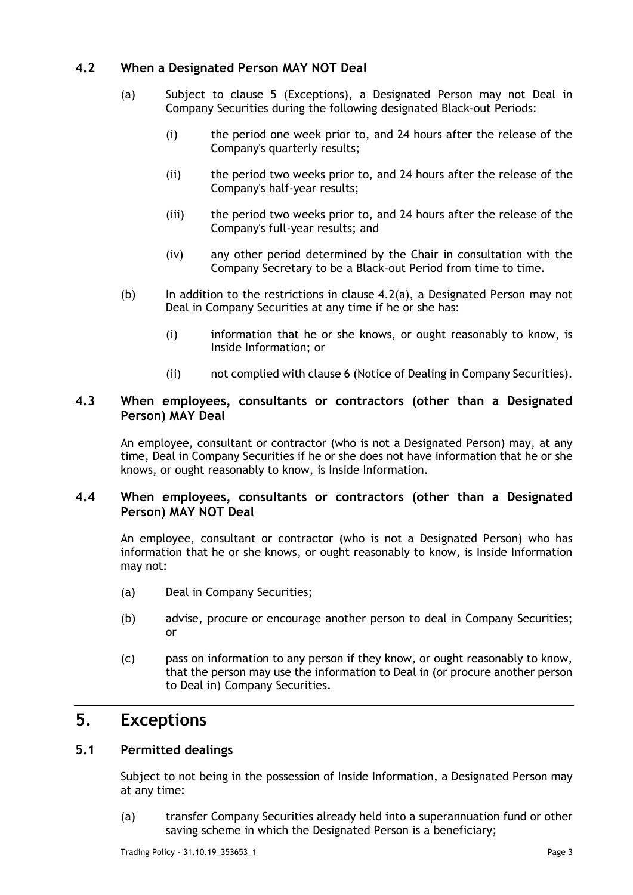### <span id="page-2-1"></span><span id="page-2-0"></span>**4.2 When a Designated Person MAY NOT Deal**

- (a) Subject to clause 5 (Exceptions), a Designated Person may not Deal in Company Securities during the following designated Black-out Periods:
	- (i) the period one week prior to, and 24 hours after the release of the Company's quarterly results;
	- (ii) the period two weeks prior to, and 24 hours after the release of the Company's half-year results;
	- (iii) the period two weeks prior to, and 24 hours after the release of the Company's full-year results; and
	- (iv) any other period determined by the Chair in consultation with the Company Secretary to be a Black-out Period from time to time.
- (b) In addition to the restrictions in clause  $4.2(a)$ , a Designated Person may not Deal in Company Securities at any time if he or she has:
	- (i) information that he or she knows, or ought reasonably to know, is Inside Information; or
	- (ii) not complied with clause 6 (Notice of Dealing in Company Securities).

### **4.3 When employees, consultants or contractors (other than a Designated Person) MAY Deal**

An employee, consultant or contractor (who is not a Designated Person) may, at any time, Deal in Company Securities if he or she does not have information that he or she knows, or ought reasonably to know, is Inside Information.

### **4.4 When employees, consultants or contractors (other than a Designated Person) MAY NOT Deal**

An employee, consultant or contractor (who is not a Designated Person) who has information that he or she knows, or ought reasonably to know, is Inside Information may not:

- (a) Deal in Company Securities;
- (b) advise, procure or encourage another person to deal in Company Securities; or
- (c) pass on information to any person if they know, or ought reasonably to know, that the person may use the information to Deal in (or procure another person to Deal in) Company Securities.

# **5. Exceptions**

### **5.1 Permitted dealings**

Subject to not being in the possession of Inside Information, a Designated Person may at any time:

(a) transfer Company Securities already held into a superannuation fund or other saving scheme in which the Designated Person is a beneficiary;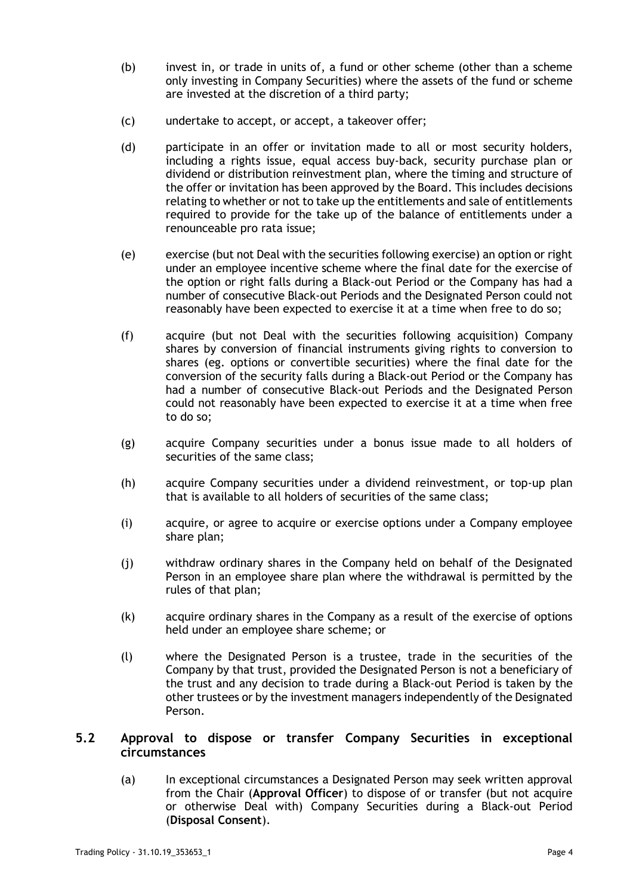- (b) invest in, or trade in units of, a fund or other scheme (other than a scheme only investing in Company Securities) where the assets of the fund or scheme are invested at the discretion of a third party;
- (c) undertake to accept, or accept, a takeover offer;
- (d) participate in an offer or invitation made to all or most security holders, including a rights issue, equal access buy-back, security purchase plan or dividend or distribution reinvestment plan, where the timing and structure of the offer or invitation has been approved by the Board. This includes decisions relating to whether or not to take up the entitlements and sale of entitlements required to provide for the take up of the balance of entitlements under a renounceable pro rata issue;
- (e) exercise (but not Deal with the securities following exercise) an option or right under an employee incentive scheme where the final date for the exercise of the option or right falls during a Black-out Period or the Company has had a number of consecutive Black-out Periods and the Designated Person could not reasonably have been expected to exercise it at a time when free to do so;
- (f) acquire (but not Deal with the securities following acquisition) Company shares by conversion of financial instruments giving rights to conversion to shares (eg. options or convertible securities) where the final date for the conversion of the security falls during a Black-out Period or the Company has had a number of consecutive Black-out Periods and the Designated Person could not reasonably have been expected to exercise it at a time when free to do so;
- (g) acquire Company securities under a bonus issue made to all holders of securities of the same class;
- (h) acquire Company securities under a dividend reinvestment, or top-up plan that is available to all holders of securities of the same class;
- (i) acquire, or agree to acquire or exercise options under a Company employee share plan;
- (j) withdraw ordinary shares in the Company held on behalf of the Designated Person in an employee share plan where the withdrawal is permitted by the rules of that plan;
- (k) acquire ordinary shares in the Company as a result of the exercise of options held under an employee share scheme; or
- (l) where the Designated Person is a trustee, trade in the securities of the Company by that trust, provided the Designated Person is not a beneficiary of the trust and any decision to trade during a Black-out Period is taken by the other trustees or by the investment managers independently of the Designated Person.

### **5.2 Approval to dispose or transfer Company Securities in exceptional circumstances**

(a) In exceptional circumstances a Designated Person may seek written approval from the Chair (**Approval Officer**) to dispose of or transfer (but not acquire or otherwise Deal with) Company Securities during a Black-out Period (**Disposal Consent**).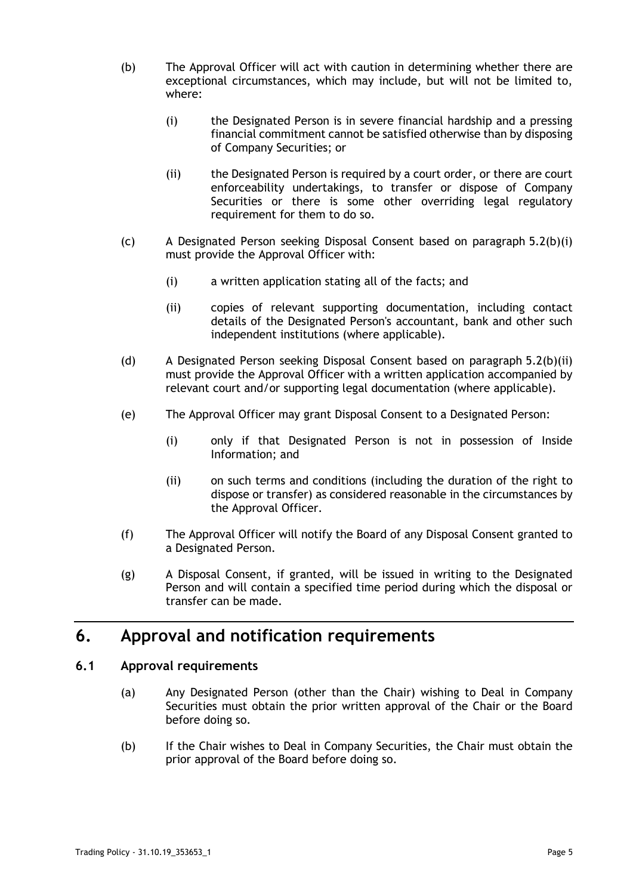- <span id="page-4-0"></span>(b) The Approval Officer will act with caution in determining whether there are exceptional circumstances, which may include, but will not be limited to, where:
	- (i) the Designated Person is in severe financial hardship and a pressing financial commitment cannot be satisfied otherwise than by disposing of Company Securities; or
	- (ii) the Designated Person is required by a court order, or there are court enforceability undertakings, to transfer or dispose of Company Securities or there is some other overriding legal regulatory requirement for them to do so.
- <span id="page-4-1"></span>(c) A Designated Person seeking Disposal Consent based on paragraph [5.2\(b\)\(i\)](#page-4-0) must provide the Approval Officer with:
	- (i) a written application stating all of the facts; and
	- (ii) copies of relevant supporting documentation, including contact details of the Designated Person's accountant, bank and other such independent institutions (where applicable).
- (d) A Designated Person seeking Disposal Consent based on paragraph [5.2\(b\)\(ii\)](#page-4-1) must provide the Approval Officer with a written application accompanied by relevant court and/or supporting legal documentation (where applicable).
- (e) The Approval Officer may grant Disposal Consent to a Designated Person:
	- (i) only if that Designated Person is not in possession of Inside Information; and
	- (ii) on such terms and conditions (including the duration of the right to dispose or transfer) as considered reasonable in the circumstances by the Approval Officer.
- (f) The Approval Officer will notify the Board of any Disposal Consent granted to a Designated Person.
- (g) A Disposal Consent, if granted, will be issued in writing to the Designated Person and will contain a specified time period during which the disposal or transfer can be made.

# **6. Approval and notification requirements**

### <span id="page-4-2"></span>**6.1 Approval requirements**

- (a) Any Designated Person (other than the Chair) wishing to Deal in Company Securities must obtain the prior written approval of the Chair or the Board before doing so.
- (b) If the Chair wishes to Deal in Company Securities, the Chair must obtain the prior approval of the Board before doing so.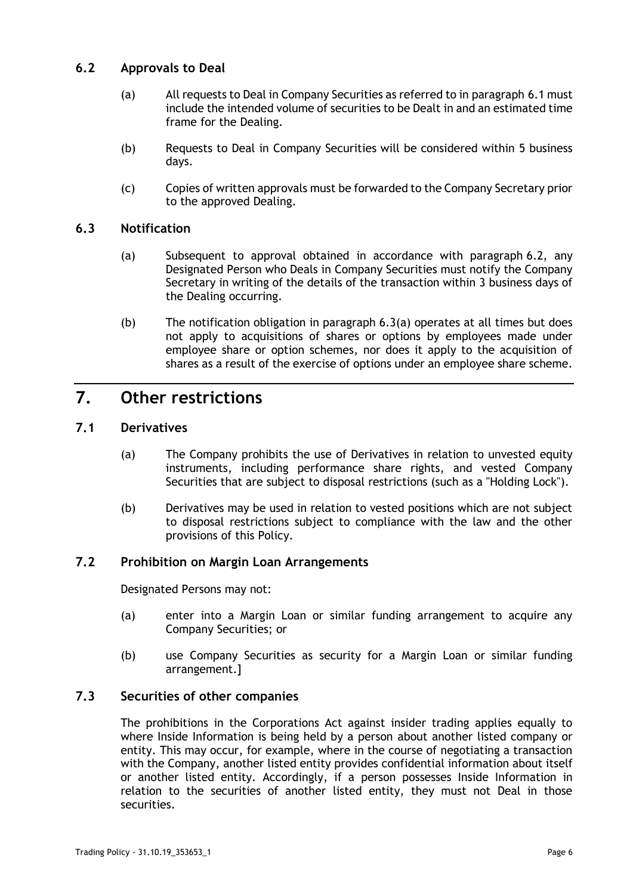### <span id="page-5-0"></span>**6.2 Approvals to Deal**

- (a) All requests to Deal in Company Securities as referred to in paragraph [6.1](#page-4-2) must include the intended volume of securities to be Dealt in and an estimated time frame for the Dealing.
- (b) Requests to Deal in Company Securities will be considered within 5 business days.
- (c) Copies of written approvals must be forwarded to the Company Secretary prior to the approved Dealing.

#### <span id="page-5-1"></span>**6.3 Notification**

- (a) Subsequent to approval obtained in accordance with paragraph [6.2,](#page-5-0) any Designated Person who Deals in Company Securities must notify the Company Secretary in writing of the details of the transaction within 3 business days of the Dealing occurring.
- (b) The notification obligation in paragraph [6.3\(a\)](#page-5-1) operates at all times but does not apply to acquisitions of shares or options by employees made under employee share or option schemes, nor does it apply to the acquisition of shares as a result of the exercise of options under an employee share scheme.

# **7. Other restrictions**

### **7.1 Derivatives**

- (a) The Company prohibits the use of Derivatives in relation to unvested equity instruments, including performance share rights, and vested Company Securities that are subject to disposal restrictions (such as a "Holding Lock").
- (b) Derivatives may be used in relation to vested positions which are not subject to disposal restrictions subject to compliance with the law and the other provisions of this Policy.

#### **7.2 Prohibition on Margin Loan Arrangements**

Designated Persons may not:

- (a) enter into a Margin Loan or similar funding arrangement to acquire any Company Securities; or
- (b) use Company Securities as security for a Margin Loan or similar funding arrangement.]

#### **7.3 Securities of other companies**

The prohibitions in the Corporations Act against insider trading applies equally to where Inside Information is being held by a person about another listed company or entity. This may occur, for example, where in the course of negotiating a transaction with the Company, another listed entity provides confidential information about itself or another listed entity. Accordingly, if a person possesses Inside Information in relation to the securities of another listed entity, they must not Deal in those securities.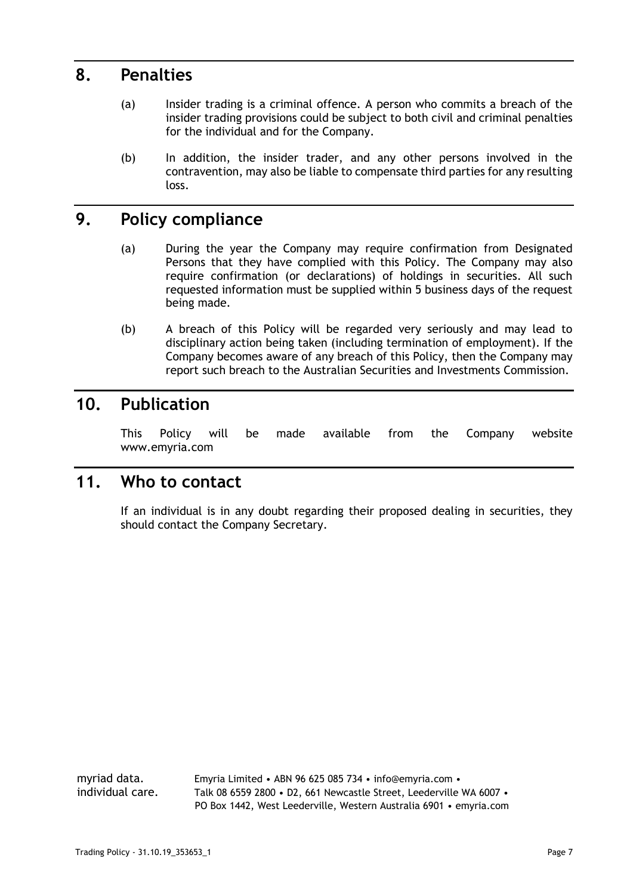### **8. Penalties**

- (a) Insider trading is a criminal offence. A person who commits a breach of the insider trading provisions could be subject to both civil and criminal penalties for the individual and for the Company.
- (b) In addition, the insider trader, and any other persons involved in the contravention, may also be liable to compensate third parties for any resulting loss.

# **9. Policy compliance**

- (a) During the year the Company may require confirmation from Designated Persons that they have complied with this Policy. The Company may also require confirmation (or declarations) of holdings in securities. All such requested information must be supplied within 5 business days of the request being made.
- (b) A breach of this Policy will be regarded very seriously and may lead to disciplinary action being taken (including termination of employment). If the Company becomes aware of any breach of this Policy, then the Company may report such breach to the Australian Securities and Investments Commission.

# **10. Publication**

This Policy will be made available from the Company website www.emyria.com

### **11. Who to contact**

If an individual is in any doubt regarding their proposed dealing in securities, they should contact the Company Secretary.